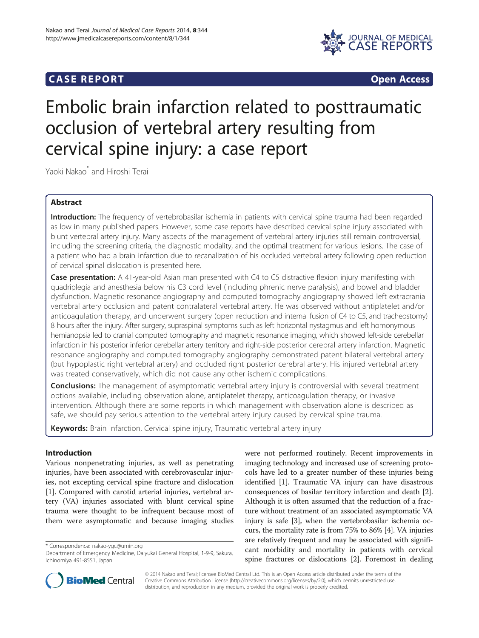# **CASE REPORT CASE REPORT**



# Embolic brain infarction related to posttraumatic occlusion of vertebral artery resulting from cervical spine injury: a case report

Yaoki Nakao\* and Hiroshi Terai

# Abstract

Introduction: The frequency of vertebrobasilar ischemia in patients with cervical spine trauma had been regarded as low in many published papers. However, some case reports have described cervical spine injury associated with blunt vertebral artery injury. Many aspects of the management of vertebral artery injuries still remain controversial, including the screening criteria, the diagnostic modality, and the optimal treatment for various lesions. The case of a patient who had a brain infarction due to recanalization of his occluded vertebral artery following open reduction of cervical spinal dislocation is presented here.

Case presentation: A 41-year-old Asian man presented with C4 to C5 distractive flexion injury manifesting with quadriplegia and anesthesia below his C3 cord level (including phrenic nerve paralysis), and bowel and bladder dysfunction. Magnetic resonance angiography and computed tomography angiography showed left extracranial vertebral artery occlusion and patent contralateral vertebral artery. He was observed without antiplatelet and/or anticoagulation therapy, and underwent surgery (open reduction and internal fusion of C4 to C5, and tracheostomy) 8 hours after the injury. After surgery, supraspinal symptoms such as left horizontal nystagmus and left homonymous hemianopsia led to cranial computed tomography and magnetic resonance imaging, which showed left-side cerebellar infarction in his posterior inferior cerebellar artery territory and right-side posterior cerebral artery infarction. Magnetic resonance angiography and computed tomography angiography demonstrated patent bilateral vertebral artery (but hypoplastic right vertebral artery) and occluded right posterior cerebral artery. His injured vertebral artery was treated conservatively, which did not cause any other ischemic complications.

**Conclusions:** The management of asymptomatic vertebral artery injury is controversial with several treatment options available, including observation alone, antiplatelet therapy, anticoagulation therapy, or invasive intervention. Although there are some reports in which management with observation alone is described as safe, we should pay serious attention to the vertebral artery injury caused by cervical spine trauma.

Keywords: Brain infarction, Cervical spine injury, Traumatic vertebral artery injury

# Introduction

Various nonpenetrating injuries, as well as penetrating injuries, have been associated with cerebrovascular injuries, not excepting cervical spine fracture and dislocation [[1\]](#page-4-0). Compared with carotid arterial injuries, vertebral artery (VA) injuries associated with blunt cervical spine trauma were thought to be infrequent because most of them were asymptomatic and because imaging studies

were not performed routinely. Recent improvements in imaging technology and increased use of screening protocols have led to a greater number of these injuries being identified [\[1\]](#page-4-0). Traumatic VA injury can have disastrous consequences of basilar territory infarction and death [[2](#page-4-0)]. Although it is often assumed that the reduction of a fracture without treatment of an associated asymptomatic VA injury is safe [\[3](#page-4-0)], when the vertebrobasilar ischemia occurs, the mortality rate is from 75% to 86% [\[4\]](#page-4-0). VA injuries are relatively frequent and may be associated with significant morbidity and mortality in patients with cervical spine fractures or dislocations [\[2](#page-4-0)]. Foremost in dealing



© 2014 Nakao and Terai; licensee BioMed Central Ltd. This is an Open Access article distributed under the terms of the Creative Commons Attribution License (<http://creativecommons.org/licenses/by/2.0>), which permits unrestricted use, distribution, and reproduction in any medium, provided the original work is properly credited.

<sup>\*</sup> Correspondence: [nakao-ygc@umin.org](mailto:nakao-ygc@umin.org)

Department of Emergency Medicine, Daiyukai General Hospital, 1-9-9, Sakura, Ichinomiya 491-8551, Japan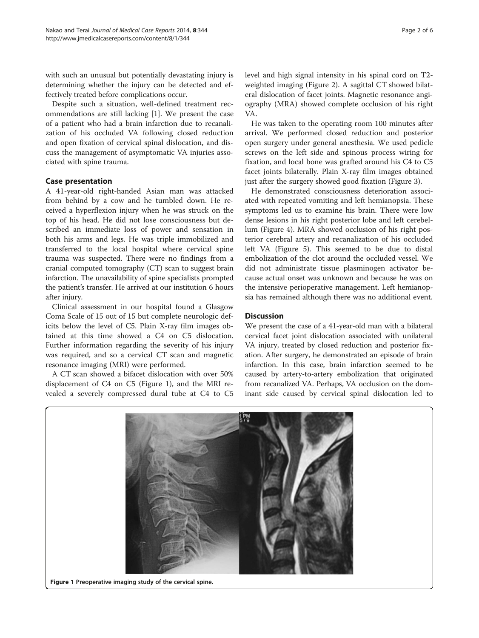with such an unusual but potentially devastating injury is determining whether the injury can be detected and effectively treated before complications occur.

Despite such a situation, well-defined treatment recommendations are still lacking [\[1](#page-4-0)]. We present the case of a patient who had a brain infarction due to recanalization of his occluded VA following closed reduction and open fixation of cervical spinal dislocation, and discuss the management of asymptomatic VA injuries associated with spine trauma.

# Case presentation

A 41-year-old right-handed Asian man was attacked from behind by a cow and he tumbled down. He received a hyperflexion injury when he was struck on the top of his head. He did not lose consciousness but described an immediate loss of power and sensation in both his arms and legs. He was triple immobilized and transferred to the local hospital where cervical spine trauma was suspected. There were no findings from a cranial computed tomography (CT) scan to suggest brain infarction. The unavailability of spine specialists prompted the patient's transfer. He arrived at our institution 6 hours after injury.

Clinical assessment in our hospital found a Glasgow Coma Scale of 15 out of 15 but complete neurologic deficits below the level of C5. Plain X-ray film images obtained at this time showed a C4 on C5 dislocation. Further information regarding the severity of his injury was required, and so a cervical CT scan and magnetic resonance imaging (MRI) were performed.

A CT scan showed a bifacet dislocation with over 50% displacement of C4 on C5 (Figure 1), and the MRI revealed a severely compressed dural tube at C4 to C5 level and high signal intensity in his spinal cord on T2 weighted imaging (Figure [2](#page-2-0)). A sagittal CT showed bilateral dislocation of facet joints. Magnetic resonance angiography (MRA) showed complete occlusion of his right VA.

He was taken to the operating room 100 minutes after arrival. We performed closed reduction and posterior open surgery under general anesthesia. We used pedicle screws on the left side and spinous process wiring for fixation, and local bone was grafted around his C4 to C5 facet joints bilaterally. Plain X-ray film images obtained just after the surgery showed good fixation (Figure [3\)](#page-2-0).

He demonstrated consciousness deterioration associated with repeated vomiting and left hemianopsia. These symptoms led us to examine his brain. There were low dense lesions in his right posterior lobe and left cerebellum (Figure [4](#page-3-0)). MRA showed occlusion of his right posterior cerebral artery and recanalization of his occluded left VA (Figure [5\)](#page-3-0). This seemed to be due to distal embolization of the clot around the occluded vessel. We did not administrate tissue plasminogen activator because actual onset was unknown and because he was on the intensive perioperative management. Left hemianopsia has remained although there was no additional event.

# **Discussion**

We present the case of a 41-year-old man with a bilateral cervical facet joint dislocation associated with unilateral VA injury, treated by closed reduction and posterior fixation. After surgery, he demonstrated an episode of brain infarction. In this case, brain infarction seemed to be caused by artery-to-artery embolization that originated from recanalized VA. Perhaps, VA occlusion on the dominant side caused by cervical spinal dislocation led to

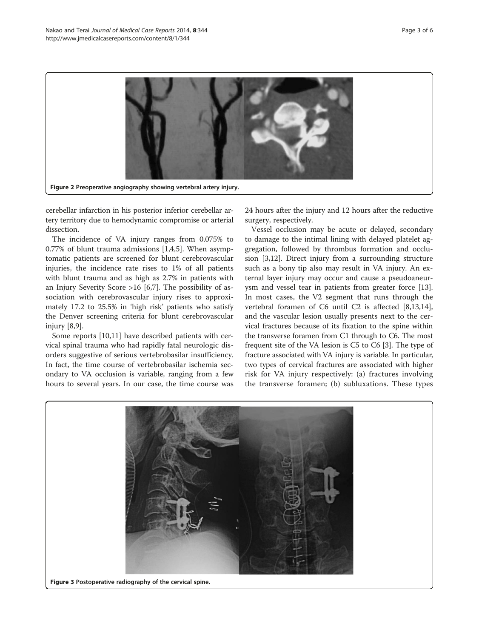<span id="page-2-0"></span>

cerebellar infarction in his posterior inferior cerebellar artery territory due to hemodynamic compromise or arterial dissection.

The incidence of VA injury ranges from 0.075% to 0.77% of blunt trauma admissions [[1,4,5\]](#page-4-0). When asymptomatic patients are screened for blunt cerebrovascular injuries, the incidence rate rises to 1% of all patients with blunt trauma and as high as 2.7% in patients with an Injury Severity Score >16 [\[6,7](#page-4-0)]. The possibility of association with cerebrovascular injury rises to approximately 17.2 to 25.5% in 'high risk' patients who satisfy the Denver screening criteria for blunt cerebrovascular injury [[8,9\]](#page-4-0).

Some reports [\[10,11\]](#page-4-0) have described patients with cervical spinal trauma who had rapidly fatal neurologic disorders suggestive of serious vertebrobasilar insufficiency. In fact, the time course of vertebrobasilar ischemia secondary to VA occlusion is variable, ranging from a few hours to several years. In our case, the time course was

24 hours after the injury and 12 hours after the reductive surgery, respectively.

Vessel occlusion may be acute or delayed, secondary to damage to the intimal lining with delayed platelet aggregation, followed by thrombus formation and occlusion [\[3](#page-4-0)[,12](#page-5-0)]. Direct injury from a surrounding structure such as a bony tip also may result in VA injury. An external layer injury may occur and cause a pseudoaneurysm and vessel tear in patients from greater force [\[13](#page-5-0)]. In most cases, the V2 segment that runs through the vertebral foramen of C6 until C2 is affected [\[8](#page-4-0)[,13,14](#page-5-0)], and the vascular lesion usually presents next to the cervical fractures because of its fixation to the spine within the transverse foramen from C1 through to C6. The most frequent site of the VA lesion is C5 to C6 [[3\]](#page-4-0). The type of fracture associated with VA injury is variable. In particular, two types of cervical fractures are associated with higher risk for VA injury respectively: (a) fractures involving the transverse foramen; (b) subluxations. These types

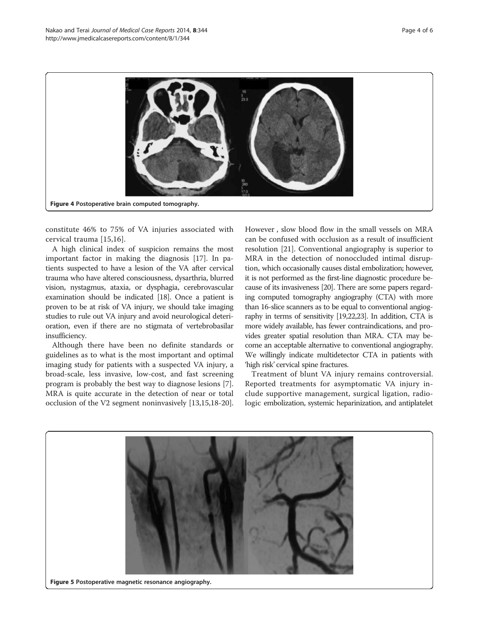<span id="page-3-0"></span>

constitute 46% to 75% of VA injuries associated with cervical trauma [\[15](#page-5-0),[16\]](#page-5-0).

A high clinical index of suspicion remains the most important factor in making the diagnosis [\[17](#page-5-0)]. In patients suspected to have a lesion of the VA after cervical trauma who have altered consciousness, dysarthria, blurred vision, nystagmus, ataxia, or dysphagia, cerebrovascular examination should be indicated [[18](#page-5-0)]. Once a patient is proven to be at risk of VA injury, we should take imaging studies to rule out VA injury and avoid neurological deterioration, even if there are no stigmata of vertebrobasilar insufficiency.

Although there have been no definite standards or guidelines as to what is the most important and optimal imaging study for patients with a suspected VA injury, a broad-scale, less invasive, low-cost, and fast screening program is probably the best way to diagnose lesions [\[7](#page-4-0)]. MRA is quite accurate in the detection of near or total occlusion of the V2 segment noninvasively [\[13,15,18-20](#page-5-0)]. However , slow blood flow in the small vessels on MRA can be confused with occlusion as a result of insufficient resolution [[21](#page-5-0)]. Conventional angiography is superior to MRA in the detection of nonoccluded intimal disruption, which occasionally causes distal embolization; however, it is not performed as the first-line diagnostic procedure because of its invasiveness [\[20\]](#page-5-0). There are some papers regarding computed tomography angiography (CTA) with more than 16-slice scanners as to be equal to conventional angiography in terms of sensitivity [\[19,22,23](#page-5-0)]. In addition, CTA is more widely available, has fewer contraindications, and provides greater spatial resolution than MRA. CTA may become an acceptable alternative to conventional angiography. We willingly indicate multidetector CTA in patients with 'high risk' cervical spine fractures.

Treatment of blunt VA injury remains controversial. Reported treatments for asymptomatic VA injury include supportive management, surgical ligation, radiologic embolization, systemic heparinization, and antiplatelet

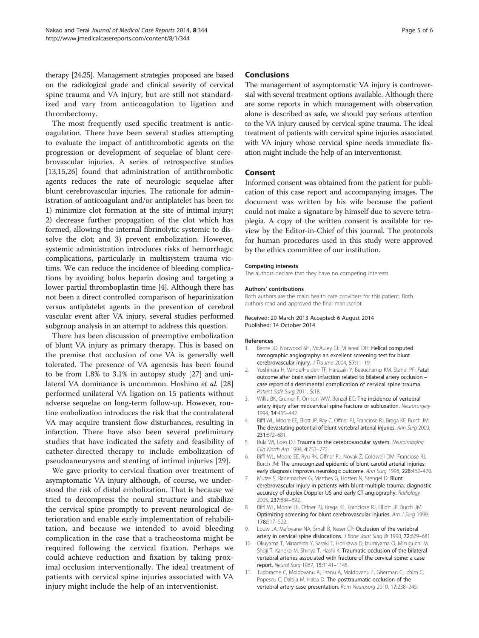<span id="page-4-0"></span>therapy [\[24,25](#page-5-0)]. Management strategies proposed are based on the radiological grade and clinical severity of cervical spine trauma and VA injury, but are still not standardized and vary from anticoagulation to ligation and thrombectomy.

The most frequently used specific treatment is anticoagulation. There have been several studies attempting to evaluate the impact of antithrombotic agents on the progression or development of sequelae of blunt cerebrovascular injuries. A series of retrospective studies [[13,15,26\]](#page-5-0) found that administration of antithrombotic agents reduces the rate of neurologic sequelae after blunt cerebrovascular injuries. The rationale for administration of anticoagulant and/or antiplatelet has been to: 1) minimize clot formation at the site of intimal injury; 2) decrease further propagation of the clot which has formed, allowing the internal fibrinolytic systemic to dissolve the clot; and 3) prevent embolization. However, systemic administration introduces risks of hemorrhagic complications, particularly in multisystem trauma victims. We can reduce the incidence of bleeding complications by avoiding bolus heparin dosing and targeting a lower partial thromboplastin time [4]. Although there has not been a direct controlled comparison of heparinization versus antiplatelet agents in the prevention of cerebral vascular event after VA injury, several studies performed subgroup analysis in an attempt to address this question.

There has been discussion of preemptive embolization of blunt VA injury as primary therapy. This is based on the premise that occlusion of one VA is generally well tolerated. The presence of VA agenesis has been found to be from 1.8% to 3.1% in autopsy study [\[27](#page-5-0)] and unilateral VA dominance is uncommon. Hoshino et al. [[28](#page-5-0)] performed unilateral VA ligation on 15 patients without adverse sequelae on long-term follow-up. However, routine embolization introduces the risk that the contralateral VA may acquire transient flow disturbances, resulting in infarction. There have also been several preliminary studies that have indicated the safety and feasibility of catheter-directed therapy to include embolization of pseudoaneurysms and stenting of intimal injuries [\[29](#page-5-0)].

We gave priority to cervical fixation over treatment of asymptomatic VA injury although, of course, we understood the risk of distal embolization. That is because we tried to decompress the neural structure and stabilize the cervical spine promptly to prevent neurological deterioration and enable early implementation of rehabilitation, and because we intended to avoid bleeding complication in the case that a tracheostoma might be required following the cervical fixation. Perhaps we could achieve reduction and fixation by taking proximal occlusion interventionally. The ideal treatment of patients with cervical spine injuries associated with VA injury might include the help of an interventionist.

### Conclusions

The management of asymptomatic VA injury is controversial with several treatment options available. Although there are some reports in which management with observation alone is described as safe, we should pay serious attention to the VA injury caused by cervical spine trauma. The ideal treatment of patients with cervical spine injuries associated with VA injury whose cervical spine needs immediate fixation might include the help of an interventionist.

#### Consent

Informed consent was obtained from the patient for publication of this case report and accompanying images. The document was written by his wife because the patient could not make a signature by himself due to severe tetraplegia. A copy of the written consent is available for review by the Editor-in-Chief of this journal. The protocols for human procedures used in this study were approved by the ethics committee of our institution.

#### Competing interests

The authors declare that they have no competing interests.

#### Authors' contributions

Both authors are the main health care providers for this patient. Both authors read and approved the final manuscript.

#### Received: 20 March 2013 Accepted: 6 August 2014 Published: 14 October 2014

#### References

- 1. Berne JD, Norwood SH, McAuley CE, Villareal DH: Helical computed tomographic angiography: an excellent screening test for blunt cerebrovascular injury. J Trauma 2004, 57:11–19.
- 2. Yoshihara H, VanderHeiden TF, Harasaki Y, Beauchamp KM, Stahel PF: Fatal outcome after brain stem infarction related to bilateral artery occlusion – case report of a detrimental complication of cervical spine trauma. Patient Safe Surg 2011, 5:18.
- 3. Willis BK, Greiner F, Orrison WW, Benzel EC: The incidence of vertebral artery injury after midcervical spine fracture or subluxation. Neurosurgery 1994, 34:435–442.
- 4. Biffl WL, Moore EE, Eliott JP, Ray C, Offner PJ, Franciose RJ, Brega KE, Burch JM: The devastating potential of blunt vertebral arterial injuries. Ann Surg 2000, 231:672–681.
- 5. Bula WI, Loes DJ: Trauma to the cerebrovascular system. Neuroimaging Clin North Am 1994, 4:753–772.
- 6. Biffl WL, Moore EE, Ryu RK, Offner PJ, Novak Z, Coldwell DM, Franciose RJ, Burch JM: The unrecognized epidemic of blunt carotid arterial injuries: early diagnosis improves neurologic outcome. Ann Surg 1998, 228:462–470.
- 7. Mutze S, Rademacher G, Matthes G, Hosten N, Stengel D: Blunt cerebrovascular injury in patients with blunt multiple trauma: diagnostic accuracy of duplex Doppler US and early CT angiography. Radiology 2005, 237:884–892.
- 8. Biffl WL, Moore EE, Offner PJ, Brega KE, Franciose RJ, Elliott JP, Burch JM: Optimizing screening for blunt cerebrovascular injuries. Am J Surg 1999, 178:517–522.
- 9. Louw JA, Mafoyane NA, Small B, Neser CP: Occlusion of the vertebral artery in cervical spine dislocations. J Bone Joint Surg Br 1990, 72:679-681.
- 10. Okuyama T, Minamida Y, Sasaki T, Horikawa D, Izumiyama O, Mizuguchi M, Shoji T, Kaneko M, Shinya T, Hashi K: Traumatic occlusion of the bilateral vertebral arteries associated with fracture of the cervical spine: a case report. Neurol Surg 1987, 15:1141–1145.
- 11. Tudorache C, Moldovanu A, Esanu A, Moldovanu E, Gherman C, Ichim C, Popescu C, Dabija M, Haba D: The posttraumatic occlusion of the vertebral artery case presentation. Rom Neurosurg 2010, 17:238–245.